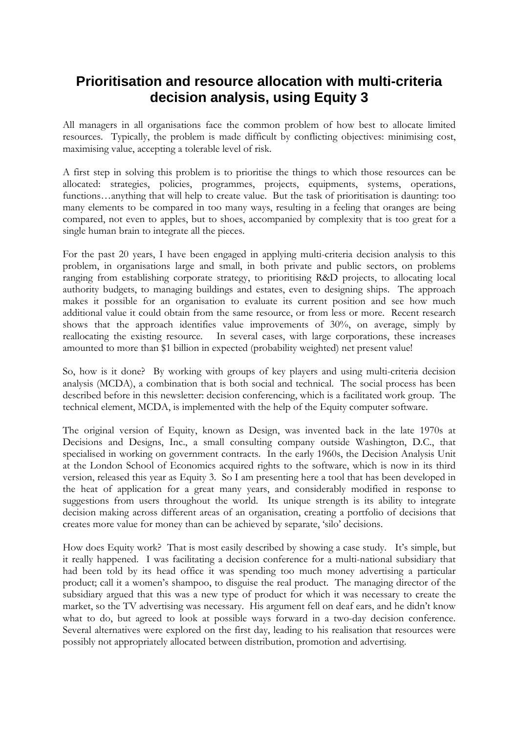## **Prioritisation and resource allocation with multi-criteria decision analysis, using Equity 3**

All managers in all organisations face the common problem of how best to allocate limited resources. Typically, the problem is made difficult by conflicting objectives: minimising cost, maximising value, accepting a tolerable level of risk.

A first step in solving this problem is to prioritise the things to which those resources can be allocated: strategies, policies, programmes, projects, equipments, systems, operations, functions…anything that will help to create value. But the task of prioritisation is daunting: too many elements to be compared in too many ways, resulting in a feeling that oranges are being compared, not even to apples, but to shoes, accompanied by complexity that is too great for a single human brain to integrate all the pieces.

For the past 20 years, I have been engaged in applying multi-criteria decision analysis to this problem, in organisations large and small, in both private and public sectors, on problems ranging from establishing corporate strategy, to prioritising R&D projects, to allocating local authority budgets, to managing buildings and estates, even to designing ships. The approach makes it possible for an organisation to evaluate its current position and see how much additional value it could obtain from the same resource, or from less or more. Recent research shows that the approach identifies value improvements of 30%, on average, simply by reallocating the existing resource. In several cases, with large corporations, these increases amounted to more than \$1 billion in expected (probability weighted) net present value!

So, how is it done? By working with groups of key players and using multi-criteria decision analysis (MCDA), a combination that is both social and technical. The social process has been described before in this newsletter: decision conferencing, which is a facilitated work group. The technical element, MCDA, is implemented with the help of the Equity computer software.

The original version of Equity, known as Design, was invented back in the late 1970s at Decisions and Designs, Inc., a small consulting company outside Washington, D.C., that specialised in working on government contracts. In the early 1960s, the Decision Analysis Unit at the London School of Economics acquired rights to the software, which is now in its third version, released this year as Equity 3. So I am presenting here a tool that has been developed in the heat of application for a great many years, and considerably modified in response to suggestions from users throughout the world. Its unique strength is its ability to integrate decision making across different areas of an organisation, creating a portfolio of decisions that creates more value for money than can be achieved by separate, 'silo' decisions.

How does Equity work? That is most easily described by showing a case study. It's simple, but it really happened. I was facilitating a decision conference for a multi-national subsidiary that had been told by its head office it was spending too much money advertising a particular product; call it a women's shampoo, to disguise the real product. The managing director of the subsidiary argued that this was a new type of product for which it was necessary to create the market, so the TV advertising was necessary. His argument fell on deaf ears, and he didn't know what to do, but agreed to look at possible ways forward in a two-day decision conference. Several alternatives were explored on the first day, leading to his realisation that resources were possibly not appropriately allocated between distribution, promotion and advertising.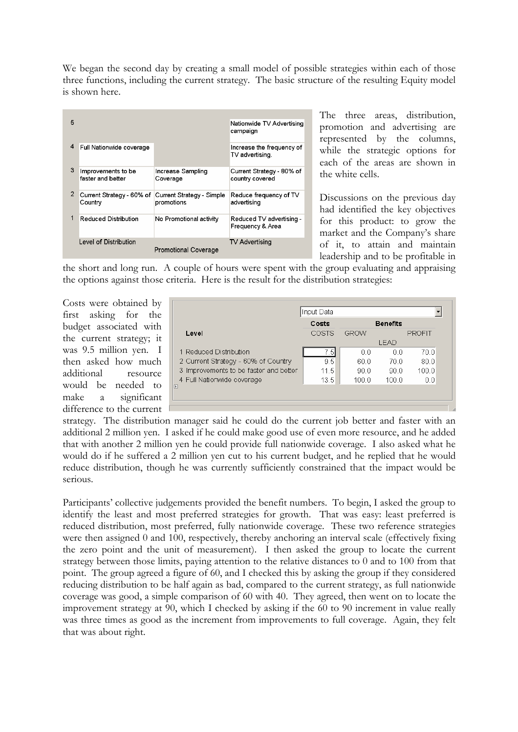We began the second day by creating a small model of possible strategies within each of those three functions, including the current strategy. The basic structure of the resulting Equity model is shown here.

| 5              |                                         |                                         | Nationwide TV Advertising<br>campaign        |
|----------------|-----------------------------------------|-----------------------------------------|----------------------------------------------|
| 4              | Full Nationwide coverage                |                                         | Increase the frequency of<br>TV advertising. |
| 3              | Improvements to be<br>faster and better | Increase Sampling<br>Coverage           | Current Strategy - 80% of<br>country covered |
| $\overline{2}$ | Current Strategy - 60% of<br>Country    | Current Strategy - Simple<br>promotions | Reduce frequency of TV<br>advertising        |
| 1              | Reduced Distribution                    | No Promotional activity                 | Reduced TV advertising -<br>Frequency & Area |
|                | Level of Distribution                   | <b>Promotional Coverage</b>             | TV Advertising                               |

The three areas, distribution, promotion and advertising are represented by the columns, while the strategic options for each of the areas are shown in the white cells.

Discussions on the previous day had identified the key objectives for this product: to grow the market and the Company's share of it, to attain and maintain leadership and to be profitable in

the short and long run. A couple of hours were spent with the group evaluating and appraising the options against those criteria. Here is the result for the distribution strategies:

Costs were obtained by first asking for the budget associated with the current strategy; it was 9.5 million yen. I then asked how much additional resource would be needed to make a significant difference to the current

| Input Data                             |       |                 |       |               |  |  |  |  |
|----------------------------------------|-------|-----------------|-------|---------------|--|--|--|--|
|                                        | Costs | <b>Benefits</b> |       |               |  |  |  |  |
| Level                                  | COSTS | GROW            |       | <b>PROFIT</b> |  |  |  |  |
|                                        |       |                 | I FAD |               |  |  |  |  |
| 1 Reduced Distribution                 | 7.5)⊾ | 00              | 0.0   | 70.0          |  |  |  |  |
| 2 Current Strategy - 60% of Country    | 9.5   | 60.0            | 70.0  | 80.0          |  |  |  |  |
| 3 Improvements to be faster and better | 11.5  | 90 O            | 90 O  | 100.0         |  |  |  |  |
| 4 Full Nationwide coverage             | 13.5  | 100.0           | 100.0 | 0.0           |  |  |  |  |
| 匣                                      |       |                 |       |               |  |  |  |  |
|                                        |       |                 |       |               |  |  |  |  |

strategy. The distribution manager said he could do the current job better and faster with an additional 2 million yen. I asked if he could make good use of even more resource, and he added that with another 2 million yen he could provide full nationwide coverage. I also asked what he would do if he suffered a 2 million yen cut to his current budget, and he replied that he would reduce distribution, though he was currently sufficiently constrained that the impact would be serious.

Participants' collective judgements provided the benefit numbers. To begin, I asked the group to identify the least and most preferred strategies for growth. That was easy: least preferred is reduced distribution, most preferred, fully nationwide coverage. These two reference strategies were then assigned 0 and 100, respectively, thereby anchoring an interval scale (effectively fixing the zero point and the unit of measurement). I then asked the group to locate the current strategy between those limits, paying attention to the relative distances to 0 and to 100 from that point. The group agreed a figure of 60, and I checked this by asking the group if they considered reducing distribution to be half again as bad, compared to the current strategy, as full nationwide coverage was good, a simple comparison of 60 with 40. They agreed, then went on to locate the improvement strategy at 90, which I checked by asking if the 60 to 90 increment in value really was three times as good as the increment from improvements to full coverage. Again, they felt that was about right.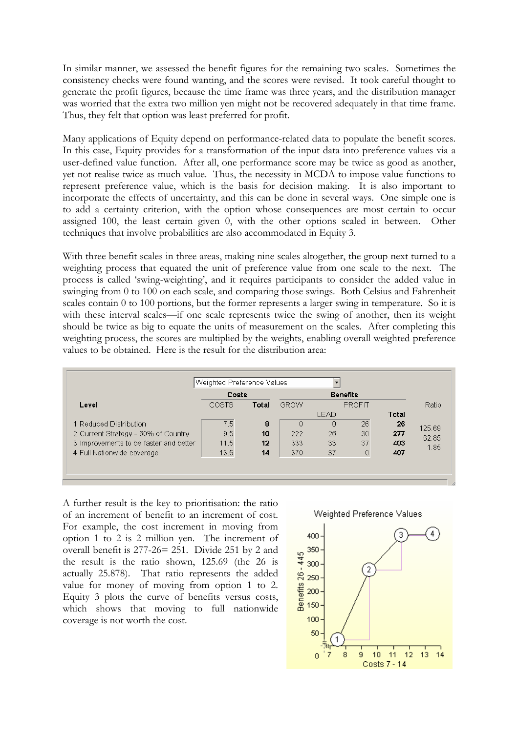In similar manner, we assessed the benefit figures for the remaining two scales. Sometimes the consistency checks were found wanting, and the scores were revised. It took careful thought to generate the profit figures, because the time frame was three years, and the distribution manager was worried that the extra two million yen might not be recovered adequately in that time frame. Thus, they felt that option was least preferred for profit.

Many applications of Equity depend on performance-related data to populate the benefit scores. In this case, Equity provides for a transformation of the input data into preference values via a user-defined value function. After all, one performance score may be twice as good as another, yet not realise twice as much value. Thus, the necessity in MCDA to impose value functions to represent preference value, which is the basis for decision making. It is also important to incorporate the effects of uncertainty, and this can be done in several ways. One simple one is to add a certainty criterion, with the option whose consequences are most certain to occur assigned 100, the least certain given 0, with the other options scaled in between. Other techniques that involve probabilities are also accommodated in Equity 3.

With three benefit scales in three areas, making nine scales altogether, the group next turned to a weighting process that equated the unit of preference value from one scale to the next. The process is called 'swing-weighting', and it requires participants to consider the added value in swinging from 0 to 100 on each scale, and comparing those swings. Both Celsius and Fahrenheit scales contain 0 to 100 portions, but the former represents a larger swing in temperature. So it is with these interval scales—if one scale represents twice the swing of another, then its weight should be twice as big to equate the units of measurement on the scales. After completing this weighting process, the scores are multiplied by the weights, enabling overall weighted preference values to be obtained. Here is the result for the distribution area:

|                                        | Costs |       | <b>Benefits</b> |                 |    |       |        |
|----------------------------------------|-------|-------|-----------------|-----------------|----|-------|--------|
| Level                                  | COSTS | Total | <b>GROW</b>     | <b>PROFIT</b>   |    |       | Ratio  |
|                                        |       |       |                 | <b>LEAD</b>     |    | Total |        |
| 1 Reduced Distribution                 | 7.5   | 8     | n               | 0               | 26 | 26    | 125.69 |
| 2 Current Strategy - 60% of Country    | 9.5   | 10    | 222             | 26              | 30 | 277   | 62.85  |
| 3 Improvements to be faster and better | 11.5  | 12    | 333             | 33 <sup>°</sup> | 37 | 403   | 1.85   |
| 4 Full Nationwide coverage             | 13.5  | 14    | 370             | 37              | 0  | 407   |        |

A further result is the key to prioritisation: the ratio of an increment of benefit to an increment of cost. For example, the cost increment in moving from option 1 to 2 is 2 million yen. The increment of overall benefit is 277-26= 251. Divide 251 by 2 and the result is the ratio shown, 125.69 (the 26 is actually 25.878). That ratio represents the added value for money of moving from option 1 to 2. Equity 3 plots the curve of benefits versus costs, which shows that moving to full nationwide coverage is not worth the cost.